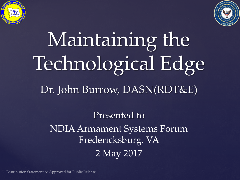



## Maintaining the Technological Edge Dr. John Burrow, DASN(RDT&E)

Presented to NDIA Armament Systems Forum Fredericksburg, VA 2 May 2017

Distribution Statement A: Approved for Public Release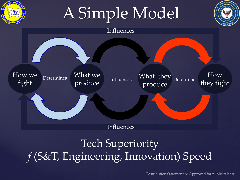



Influences

## Tech Superiority *f* (S&T, Engineering, Innovation) Speed

Distribution Statement A: Approved for public release